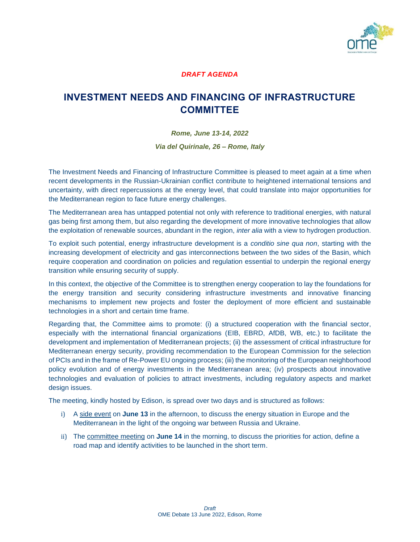

### *DRAFT AGENDA*

## **INVESTMENT NEEDS AND FINANCING OF INFRASTRUCTURE COMMITTEE**

*Rome, June 13-14, 2022 Via del Quirinale, 26 – Rome, Italy*

The Investment Needs and Financing of Infrastructure Committee is pleased to meet again at a time when recent developments in the Russian-Ukrainian conflict contribute to heightened international tensions and uncertainty, with direct repercussions at the energy level, that could translate into major opportunities for the Mediterranean region to face future energy challenges.

The Mediterranean area has untapped potential not only with reference to traditional energies, with natural gas being first among them, but also regarding the development of more innovative technologies that allow the exploitation of renewable sources, abundant in the region, *inter alia* with a view to hydrogen production.

To exploit such potential, energy infrastructure development is a *conditio sine qua non*, starting with the increasing development of electricity and gas interconnections between the two sides of the Basin, which require cooperation and coordination on policies and regulation essential to underpin the regional energy transition while ensuring security of supply.

In this context, the objective of the Committee is to strengthen energy cooperation to lay the foundations for the energy transition and security considering infrastructure investments and innovative financing mechanisms to implement new projects and foster the deployment of more efficient and sustainable technologies in a short and certain time frame.

Regarding that, the Committee aims to promote: (i) a structured cooperation with the financial sector, especially with the international financial organizations (EIB, EBRD, AfDB, WB, etc.) to facilitate the development and implementation of Mediterranean projects; (ii) the assessment of critical infrastructure for Mediterranean energy security, providing recommendation to the European Commission for the selection of PCIs and in the frame of Re-Power EU ongoing process; (iii) the monitoring of the European neighborhood policy evolution and of energy investments in the Mediterranean area; (iv) prospects about innovative technologies and evaluation of policies to attract investments, including regulatory aspects and market design issues.

The meeting, kindly hosted by Edison, is spread over two days and is structured as follows:

- i) A side event on **June 13** in the afternoon, to discuss the energy situation in Europe and the Mediterranean in the light of the ongoing war between Russia and Ukraine.
- ii) The committee meeting on **June 14** in the morning, to discuss the priorities for action, define a road map and identify activities to be launched in the short term.